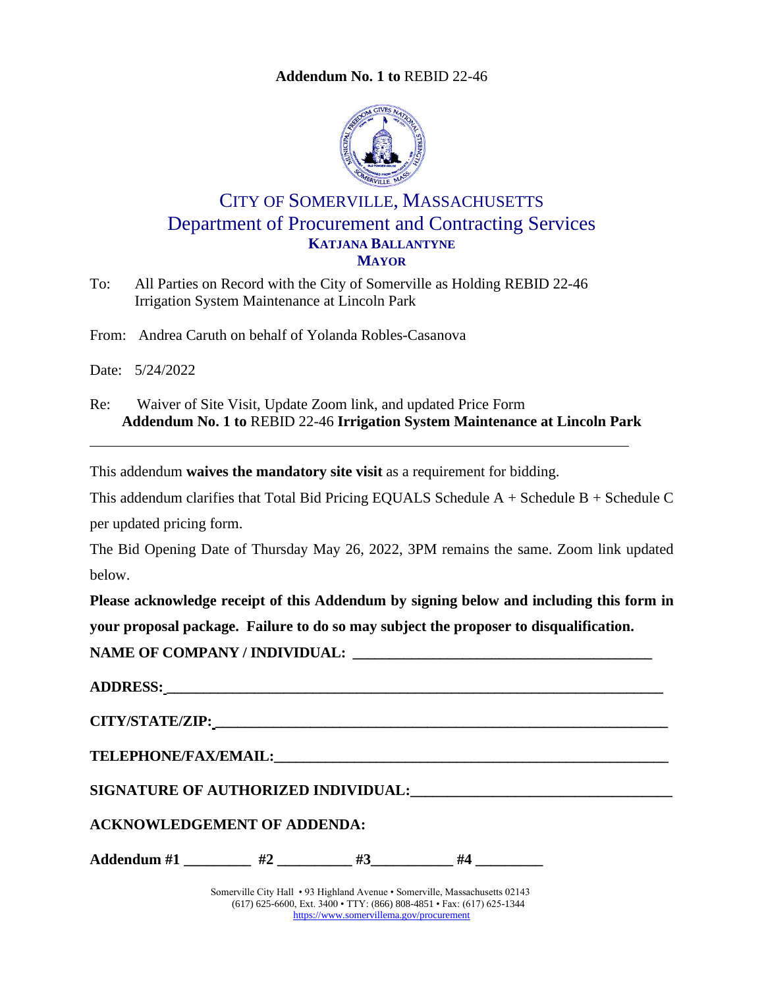#### **Addendum No. 1 to** [REBID 22-46](#page-0-0)

<span id="page-0-0"></span>

### CITY OF SOMERVILLE, MASSACHUSETTS Department of Procurement and Contracting Services **KATJANA BALLANTYNE MAYOR**

To: All Parties on Record with the City of Somerville as Holding REBID 22-46 Irrigation System Maintenance at Lincoln Park

From: Andrea Caruth on behalf of Yolanda Robles-Casanova

Date: 5/24/2022

Re: Waiver of Site Visit, Update Zoom link, and updated Price Form **Addendum No. 1 to** REBID 22-46 **Irrigation System Maintenance at Lincoln Park**

This addendum **waives the mandatory site visit** as a requirement for bidding.

This addendum clarifies that Total Bid Pricing EQUALS Schedule  $A + S$ chedule B + Schedule C

per updated pricing form.

The Bid Opening Date of Thursday May 26, 2022, 3PM remains the same. Zoom link updated below.

**Please acknowledge receipt of this Addendum by signing below and including this form in your proposal package. Failure to do so may subject the proposer to disqualification.**

NAME OF COMPANY / INDIVIDUAL:

| ADDRESS: ANDRESS:                                                    |  |                                                                                                                                                        |  |
|----------------------------------------------------------------------|--|--------------------------------------------------------------------------------------------------------------------------------------------------------|--|
|                                                                      |  |                                                                                                                                                        |  |
|                                                                      |  |                                                                                                                                                        |  |
|                                                                      |  |                                                                                                                                                        |  |
| <b>ACKNOWLEDGEMENT OF ADDENDA:</b>                                   |  |                                                                                                                                                        |  |
| Addendum #1 $\qquad \qquad$ #2 $\qquad \qquad$ #3 $\qquad \qquad$ #4 |  |                                                                                                                                                        |  |
|                                                                      |  | Somerville City Hall • 93 Highland Avenue • Somerville, Massachusetts 02143<br>$(617)$ 625-6600, Ext. 3400 • TTY: (866) 808-4851 • Fax: (617) 625-1344 |  |

<https://www.somervillema.gov/procurement>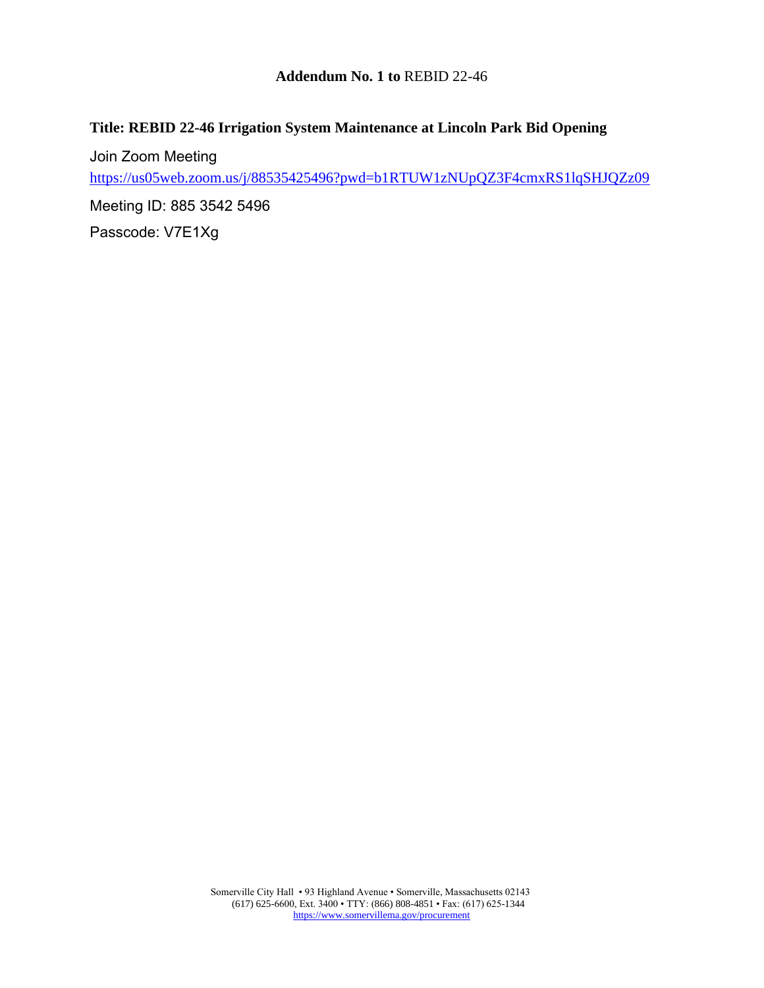#### **Addendum No. 1 to** [REBID 22-46](#page-0-0)

#### **Title: REBID 22-46 Irrigation System Maintenance at Lincoln Park Bid Opening**

Join Zoom Meeting <https://us05web.zoom.us/j/88535425496?pwd=b1RTUW1zNUpQZ3F4cmxRS1lqSHJQZz09>

Meeting ID: 885 3542 5496

Passcode: V7E1Xg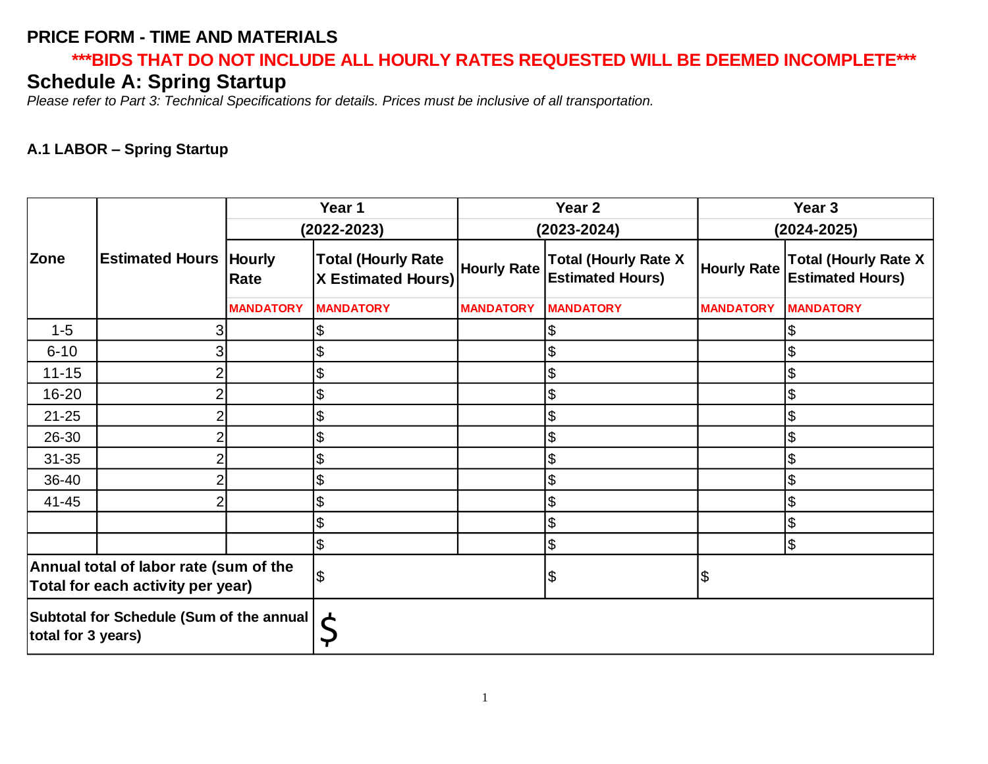### **PRICE FORM - TIME AND MATERIALS**

## **\*\*\*BIDS THAT DO NOT INCLUDE ALL HOURLY RATES REQUESTED WILL BE DEEMED INCOMPLETE\*\*\***

### **Schedule A: Spring Startup**

*Please refer to Part 3: Technical Specifications for details. Prices must be inclusive of all transportation.*

### **A.1 LABOR – Spring Startup**

|                                                                             |                                          |                       | Year 1                                                 |                    | Year <sub>2</sub>                                      |                    | Year <sub>3</sub>                                      |
|-----------------------------------------------------------------------------|------------------------------------------|-----------------------|--------------------------------------------------------|--------------------|--------------------------------------------------------|--------------------|--------------------------------------------------------|
|                                                                             |                                          | $(2022 - 2023)$       |                                                        | $(2023 - 2024)$    |                                                        | $(2024 - 2025)$    |                                                        |
| Zone                                                                        | <b>Estimated Hours</b>                   | <b>Hourly</b><br>Rate | <b>Total (Hourly Rate</b><br><b>X Estimated Hours)</b> | <b>Hourly Rate</b> | <b>Total (Hourly Rate X</b><br><b>Estimated Hours)</b> | <b>Hourly Rate</b> | <b>Total (Hourly Rate X</b><br><b>Estimated Hours)</b> |
|                                                                             |                                          | <b>MANDATORY</b>      | <b>MANDATORY</b>                                       | <b>MANDATORY</b>   | <b>MANDATORY</b>                                       | <b>MANDATORY</b>   | <b>MANDATORY</b>                                       |
| $1 - 5$                                                                     | 31                                       |                       | \$                                                     |                    | \$                                                     |                    | \$                                                     |
| $6 - 10$                                                                    | 3 <sub>l</sub>                           |                       | \$                                                     |                    |                                                        |                    |                                                        |
| $11 - 15$                                                                   |                                          |                       | \$                                                     |                    | \$                                                     |                    | \$                                                     |
| $16 - 20$                                                                   |                                          |                       | \$                                                     |                    | \$                                                     |                    | \$                                                     |
| $21 - 25$                                                                   |                                          |                       | \$                                                     |                    | $\boldsymbol{\mathsf{S}}$                              |                    | \$                                                     |
| 26-30                                                                       |                                          |                       | \$                                                     |                    | \$                                                     |                    |                                                        |
| $31 - 35$                                                                   | $\overline{2}$                           |                       | \$                                                     |                    | \$                                                     |                    | \$                                                     |
| 36-40                                                                       |                                          |                       | \$                                                     |                    | \$                                                     |                    | \$                                                     |
| $41 - 45$                                                                   | 2                                        |                       | \$                                                     |                    | $\boldsymbol{\mathsf{S}}$                              |                    | \$                                                     |
|                                                                             |                                          |                       | \$                                                     |                    | \$                                                     |                    | \$                                                     |
|                                                                             |                                          |                       | \$                                                     |                    | $\mathcal{S}$                                          |                    | $\boldsymbol{\mathsf{S}}$                              |
| Annual total of labor rate (sum of the<br>Total for each activity per year) |                                          | Ι\$                   |                                                        |                    |                                                        |                    |                                                        |
| total for 3 years)                                                          | Subtotal for Schedule (Sum of the annual |                       |                                                        |                    |                                                        |                    |                                                        |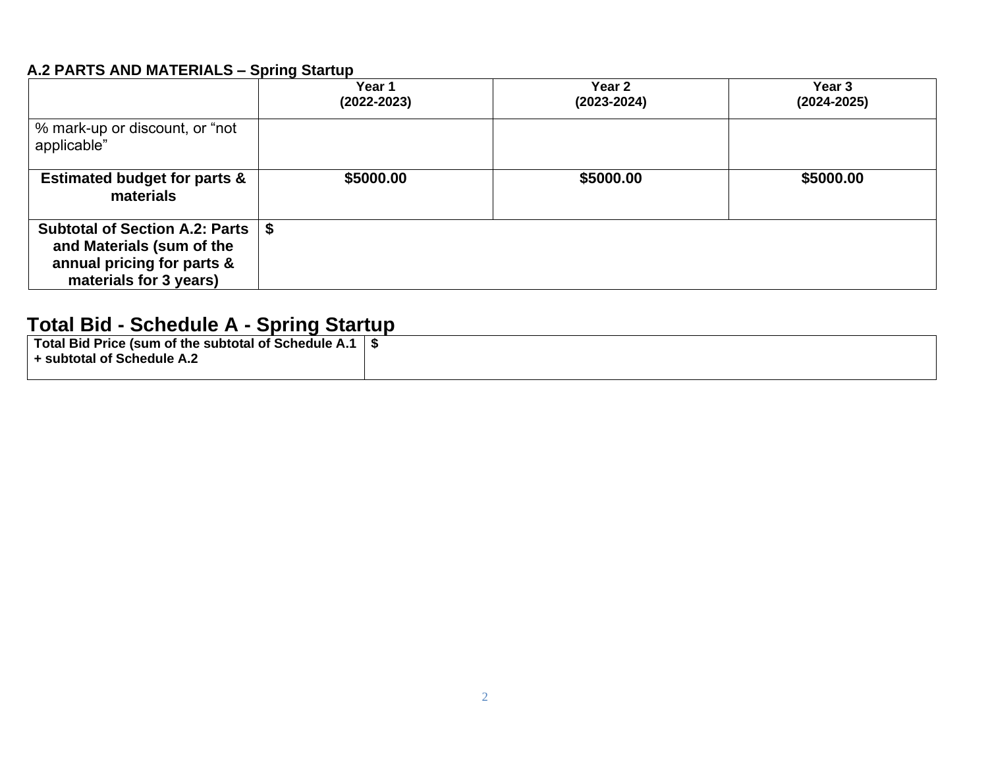#### **A.2 PARTS AND MATERIALS – Spring Startup**

|                                                                                                                       | Year 1<br>$(2022 - 2023)$ | Year <sub>2</sub><br>$(2023 - 2024)$ | Year 3<br>$(2024 - 2025)$ |
|-----------------------------------------------------------------------------------------------------------------------|---------------------------|--------------------------------------|---------------------------|
| % mark-up or discount, or "not<br>applicable"                                                                         |                           |                                      |                           |
| <b>Estimated budget for parts &amp;</b><br>materials                                                                  | \$5000.00                 | \$5000.00                            | \$5000.00                 |
| Subtotal of Section A.2: Parts  <br>and Materials (sum of the<br>annual pricing for parts &<br>materials for 3 years) | -\$                       |                                      |                           |

# **Total Bid - Schedule A - Spring Startup**

| Total Bid Price (sum of the subtotal of Schedule A.1<br><b>E</b> subtotal of Schedule A.2 |  |
|-------------------------------------------------------------------------------------------|--|
|                                                                                           |  |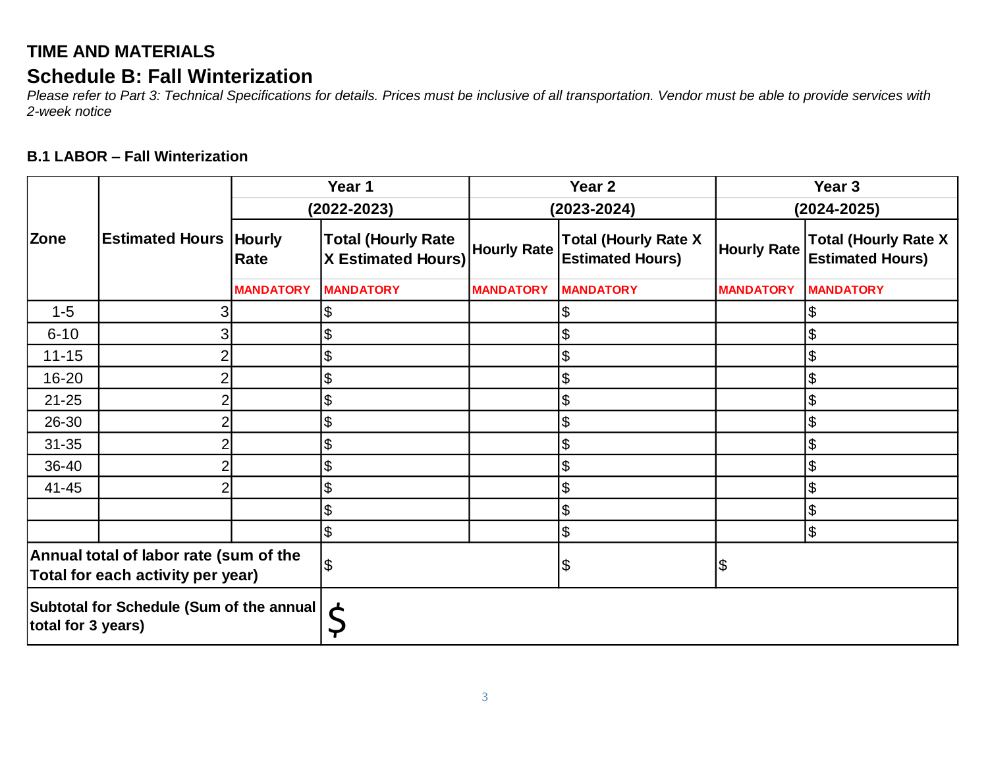### **TIME AND MATERIALS**

### **Schedule B: Fall Winterization**

*Please refer to Part 3: Technical Specifications for details. Prices must be inclusive of all transportation. Vendor must be able to provide services with 2-week notice*

### **B.1 LABOR – Fall Winterization**

|                    |                                                                             |                  | Year 1                                                 | Year 2             |                                                        | Year 3             |                                                         |
|--------------------|-----------------------------------------------------------------------------|------------------|--------------------------------------------------------|--------------------|--------------------------------------------------------|--------------------|---------------------------------------------------------|
|                    |                                                                             | $(2022 - 2023)$  |                                                        | (2023-2024)        |                                                        | $(2024 - 2025)$    |                                                         |
| <b>Zone</b>        | <b>Estimated Hours   Hourly</b>                                             | Rate             | <b>Total (Hourly Rate</b><br><b>X Estimated Hours)</b> | <b>Hourly Rate</b> | <b>Total (Hourly Rate X</b><br><b>Estimated Hours)</b> | <b>Hourly Rate</b> | <b>Total (Hourly Rate X)</b><br><b>Estimated Hours)</b> |
|                    |                                                                             | <b>MANDATORY</b> | <b>MANDATORY</b>                                       | <b>MANDATORY</b>   | <b>MANDATORY</b>                                       | <b>MANDATORY</b>   | <b>MANDATORY</b>                                        |
| $1 - 5$            | 3                                                                           |                  | \$                                                     |                    |                                                        |                    |                                                         |
| $6 - 10$           | 3                                                                           |                  | $\boldsymbol{\theta}$                                  |                    | Ъ                                                      |                    |                                                         |
| $11 - 15$          | 2                                                                           |                  | $\boldsymbol{\theta}$                                  |                    | $\mathcal{S}$                                          |                    | \$                                                      |
| 16-20              | $\overline{2}$                                                              |                  | $\boldsymbol{\theta}$                                  |                    | 1\$                                                    |                    | \$                                                      |
| $21 - 25$          | 2                                                                           |                  | $\boldsymbol{\mathsf{S}}$                              |                    | Ъ                                                      |                    |                                                         |
| 26-30              | 2                                                                           |                  | $\boldsymbol{\theta}$                                  |                    | $\mathfrak{S}$                                         |                    | \$                                                      |
| $31 - 35$          |                                                                             |                  | $\boldsymbol{\theta}$                                  |                    | \$                                                     |                    | \$                                                      |
| 36-40              |                                                                             |                  | $\boldsymbol{\theta}$                                  |                    | \$                                                     |                    | \$                                                      |
| $41 - 45$          |                                                                             |                  | \$                                                     |                    |                                                        |                    | \$                                                      |
|                    |                                                                             |                  | \$                                                     |                    |                                                        |                    | \$                                                      |
|                    |                                                                             |                  | \$                                                     |                    | Φ                                                      |                    | \$                                                      |
|                    | Annual total of labor rate (sum of the<br>Total for each activity per year) |                  | \$                                                     |                    | Ъ                                                      | \$                 |                                                         |
| total for 3 years) | Subtotal for Schedule (Sum of the annual)                                   |                  |                                                        |                    |                                                        |                    |                                                         |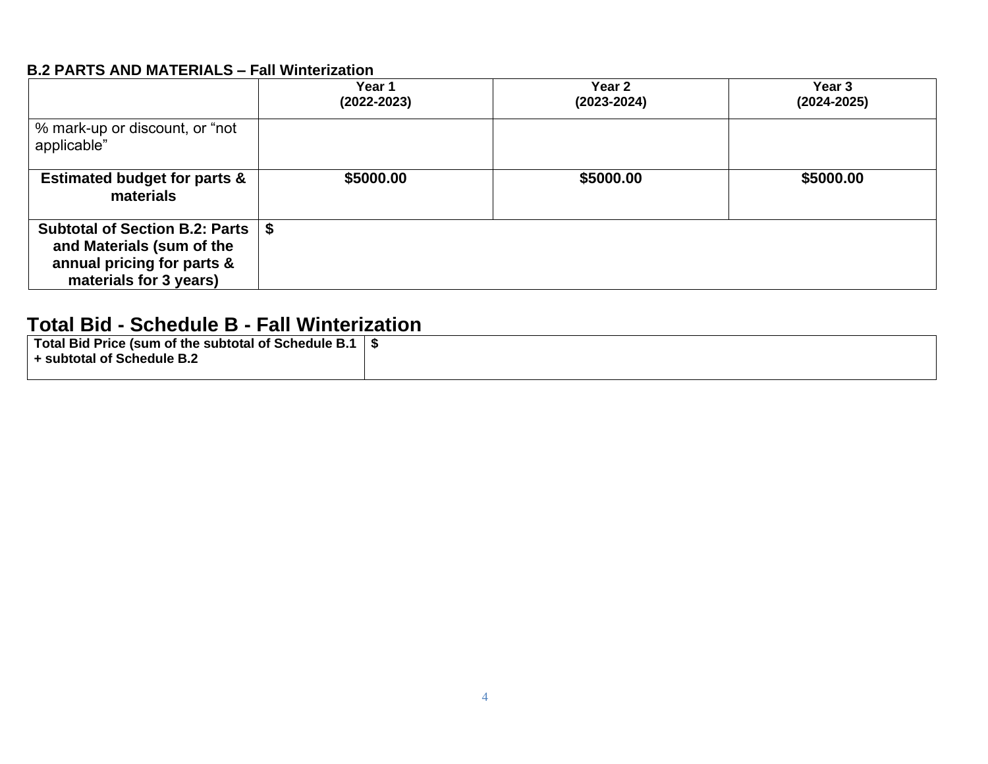#### **B.2 PARTS AND MATERIALS – Fall Winterization**

|                                                                                                                     | Year 1<br>$(2022 - 2023)$ | Year 2<br>$(2023 - 2024)$ | Year 3<br>$(2024 - 2025)$ |
|---------------------------------------------------------------------------------------------------------------------|---------------------------|---------------------------|---------------------------|
| % mark-up or discount, or "not"<br>applicable"                                                                      |                           |                           |                           |
| <b>Estimated budget for parts &amp;</b><br>materials                                                                | \$5000.00                 | \$5000.00                 | \$5000.00                 |
| Subtotal of Section B.2: Parts<br>and Materials (sum of the<br>annual pricing for parts &<br>materials for 3 years) | \$                        |                           |                           |

# **Total Bid - Schedule B - Fall Winterization**

| Total Bid Price (sum of the subtotal of Schedule B.1 |  |
|------------------------------------------------------|--|
| subtotal of Schedule B.2                             |  |
|                                                      |  |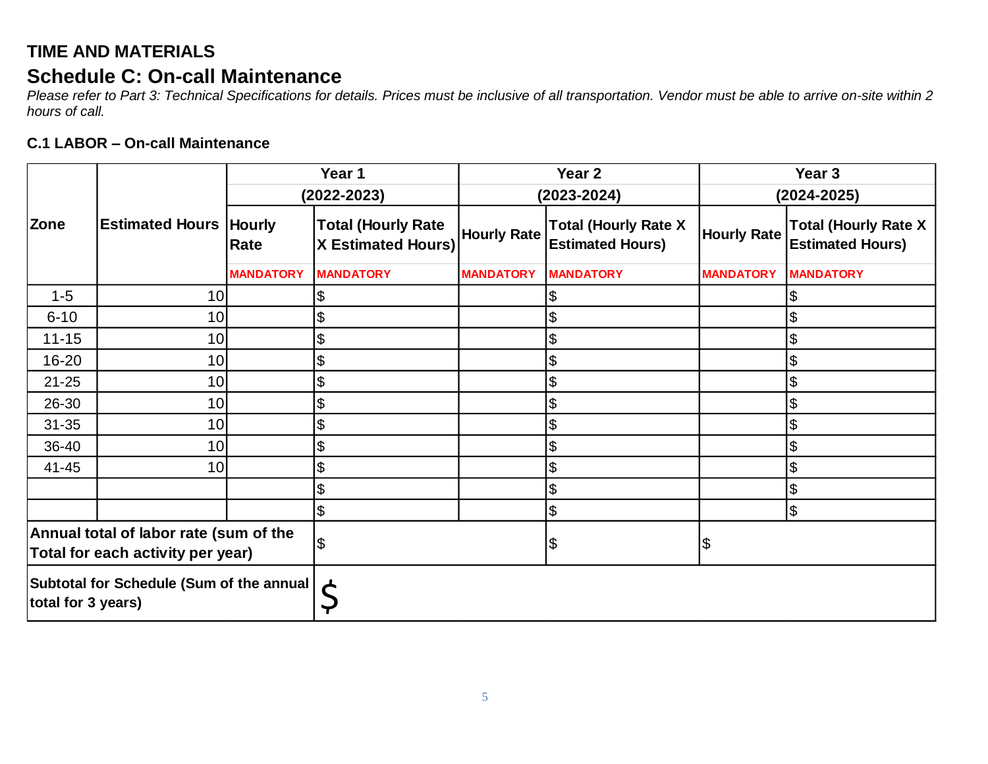### **TIME AND MATERIALS**

### **Schedule C: On-call Maintenance**

*Please refer to Part 3: Technical Specifications for details. Prices must be inclusive of all transportation. Vendor must be able to arrive on-site within 2 hours of call.*

### **C.1 LABOR – On-call Maintenance**

|                    |                                                                             |                       | Year 1                                                 |                    | Year <sub>2</sub>                                      |                    | Year 3                                                  |
|--------------------|-----------------------------------------------------------------------------|-----------------------|--------------------------------------------------------|--------------------|--------------------------------------------------------|--------------------|---------------------------------------------------------|
|                    |                                                                             | $(2022 - 2023)$       |                                                        | $(2023 - 2024)$    |                                                        | $(2024 - 2025)$    |                                                         |
| Zone               | <b>Estimated Hours</b>                                                      | <b>Hourly</b><br>Rate | <b>Total (Hourly Rate</b><br><b>X Estimated Hours)</b> | <b>Hourly Rate</b> | <b>Total (Hourly Rate X</b><br><b>Estimated Hours)</b> | <b>Hourly Rate</b> | <b>Total (Hourly Rate X)</b><br><b>Estimated Hours)</b> |
|                    |                                                                             | <b>MANDATORY</b>      | <b>MANDATORY</b>                                       | <b>MANDATORY</b>   | <b>MANDATORY</b>                                       | <b>MANDATORY</b>   | <b>MANDATORY</b>                                        |
| $1 - 5$            | 10                                                                          |                       | \$                                                     |                    | Œ                                                      |                    |                                                         |
| $6 - 10$           | 10                                                                          |                       | $\boldsymbol{\mathsf{S}}$                              |                    |                                                        |                    |                                                         |
| $11 - 15$          | 10                                                                          |                       | $\boldsymbol{\mathsf{S}}$                              |                    | \$                                                     |                    | \$                                                      |
| $16 - 20$          | 10 <sup>1</sup>                                                             |                       | $\boldsymbol{\theta}$                                  |                    | \$                                                     |                    | \$                                                      |
| $21 - 25$          | 10                                                                          |                       | $\boldsymbol{\theta}$                                  |                    | J                                                      |                    | \$                                                      |
| 26-30              | 10                                                                          |                       | $\boldsymbol{\mathsf{S}}$                              |                    |                                                        |                    | \$                                                      |
| $31 - 35$          | 10                                                                          |                       | $\boldsymbol{\mathsf{S}}$                              |                    | ъ                                                      |                    | \$                                                      |
| 36-40              | 10                                                                          |                       | $\boldsymbol{\theta}$                                  |                    | \$                                                     |                    | \$                                                      |
| 41-45              | 10                                                                          |                       | $\boldsymbol{\theta}$                                  |                    | Φ                                                      |                    | \$                                                      |
|                    |                                                                             |                       | \$                                                     |                    | ъ.                                                     |                    | \$                                                      |
|                    |                                                                             |                       | \$                                                     |                    | \$                                                     |                    | \$                                                      |
|                    | Annual total of labor rate (sum of the<br>Total for each activity per year) |                       | \$                                                     |                    | £.                                                     | 1\$                |                                                         |
| total for 3 years) | Subtotal for Schedule (Sum of the annual                                    |                       |                                                        |                    |                                                        |                    |                                                         |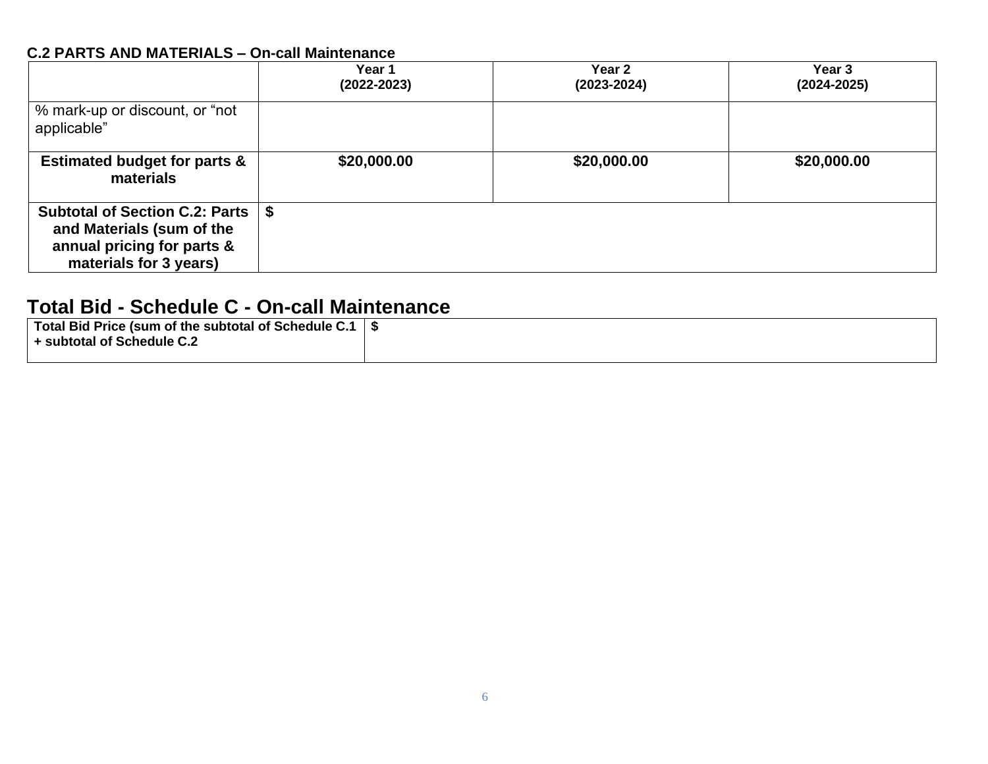### **C.2 PARTS AND MATERIALS – On-call Maintenance**

|                                                                                                                       | Year 1<br>$(2022 - 2023)$ | Year 2<br>$(2023 - 2024)$ | Year 3<br>$(2024 - 2025)$ |
|-----------------------------------------------------------------------------------------------------------------------|---------------------------|---------------------------|---------------------------|
| % mark-up or discount, or "not"<br>applicable"                                                                        |                           |                           |                           |
| <b>Estimated budget for parts &amp;</b><br>materials                                                                  | \$20,000.00               | \$20,000.00               | \$20,000.00               |
| Subtotal of Section C.2: Parts  <br>and Materials (sum of the<br>annual pricing for parts &<br>materials for 3 years) | -\$                       |                           |                           |

# **Total Bid - Schedule C - On-call Maintenance**

| Total Bid Price (sum of the subtotal of Schedule C.1<br>+ subtotal of Schedule C.2 |  |
|------------------------------------------------------------------------------------|--|
|                                                                                    |  |